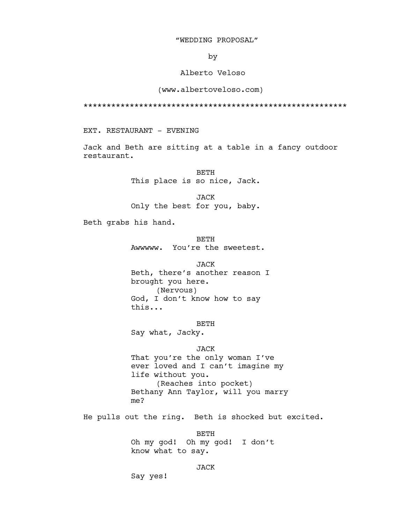# "WEDDING PROPOSAL"

by

# Alberto Veloso

## (www.albertoveloso.com)

### \*\*\*\*\*\*\*\*\*\*\*\*\*\*\*\*\*\*\*\*\*\*\*\*\*\*\*\*\*\*\*\*\*\*\*\*\*\*\*\*\*\*\*\*\*\*\*\*\*\*\*\*\*\*\*\*\*

EXT. RESTAURANT - EVENING

Jack and Beth are sitting at a table in a fancy outdoor restaurant.

> BETH This place is so nice, Jack.

> JACK Only the best for you, baby.

Beth grabs his hand.

BETH Awwwww. You're the sweetest.

**JACK** Beth, there's another reason I brought you here. (Nervous) God, I don't know how to say this...

BETH

Say what, Jacky.

## JACK

That you're the only woman I've ever loved and I can't imagine my life without you. (Reaches into pocket) Bethany Ann Taylor, will you marry me?

He pulls out the ring. Beth is shocked but excited.

BETH Oh my god! Oh my god! I don't know what to say.

## JACK

Say yes!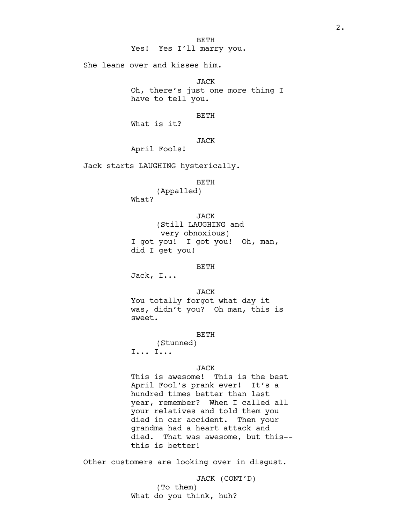Yes! Yes I'll marry you.

She leans over and kisses him.

JACK Oh, there's just one more thing I have to tell you.

BETH

What is it?

JACK

April Fools!

Jack starts LAUGHING hysterically.

BETH

(Appalled)

What?

JACK

(Still LAUGHING and very obnoxious) I got you! I got you! Oh, man, did I get you!

#### BETH

Jack, I...

JACK

You totally forgot what day it was, didn't you? Oh man, this is sweet.

BETH

(Stunned) I... I...

## JACK

This is awesome! This is the best April Fool's prank ever! It's a hundred times better than last year, remember? When I called all your relatives and told them you died in car accident. Then your grandma had a heart attack and died. That was awesome, but this- this is better!

Other customers are looking over in disgust.

JACK (CONT'D) (To them) What do you think, huh?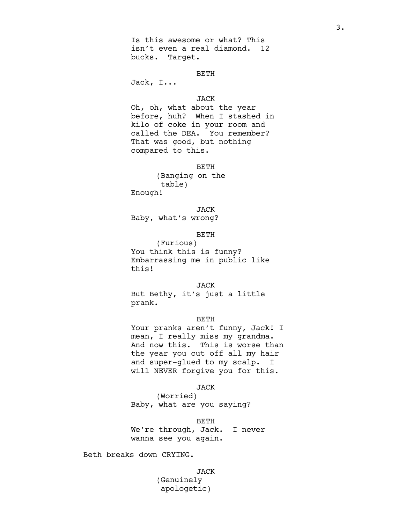Is this awesome or what? This isn't even a real diamond. 12 bucks. Target.

BETH

Jack, I...

# JACK

Oh, oh, what about the year before, huh? When I stashed in kilo of coke in your room and called the DEA. You remember? That was good, but nothing compared to this.

BETH

(Banging on the table) Enough!

JACK Baby, what's wrong?

BETH

(Furious) You think this is funny? Embarrassing me in public like this!

JACK But Bethy, it's just a little prank.

## BETH

Your pranks aren't funny, Jack! I mean, I really miss my grandma. And now this. This is worse than the year you cut off all my hair and super-glued to my scalp. I will NEVER forgive you for this.

#### JACK

(Worried) Baby, what are you saying?

#### BETH

We're through, Jack. I never wanna see you again.

Beth breaks down CRYING.

JACK (Genuinely apologetic)